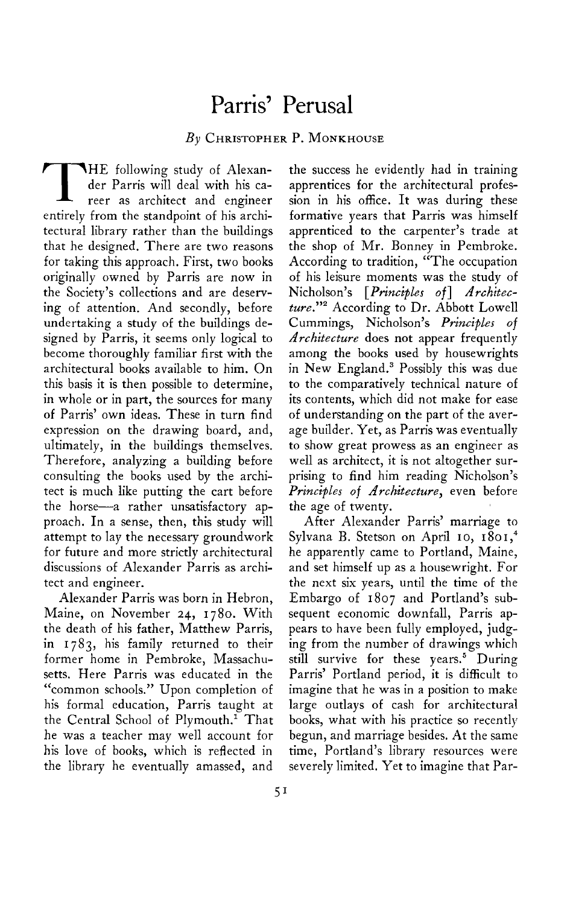## **Parris' Perusal**

## **By CHRISTOPHER P. MONKHOUSE**

**THE** following study of Alexan**der Parris will deal with his career as architect and engineer entirely from the standpoint of his architectural library rather than the buildings that he designed. There are two reasons for taking this approach. First, two books originally owned by Parris are now in the Society's collections and are deserving of attention. And secondly, before undertaking a study of the buildings designed by Parris, it seems only logical to become thoroughly familiar first with the architectural books available to him. On this basis it is then possible to determine, in whole or in part, the sources for many of Parris' own ideas. These in turn find expression on the drawing board, and, ultimately, in the buildings themselves. Therefore, analyzing a building before consulting the books used by the architect is much like putting the cart before the horse-a rather unsatisfactory approach. In a sense, then, this study will attempt to lay the necessary groundwork for future and more strictly architectural discussions of Alexander Parris as architect and engineer.** 

**Alexander Parris was born in Hebron, Maine, on November 24, 1780. With the death of his father, Matthew Parris, in 1783, his family returned to their former home in Pembroke, Massachusetts. Here Parris was educated in the "common schools." Upon completion of his formal education, Parris taught at the Central School of Plymouth.' That he was a teacher may well account for his love of books, which is reflected in the library he eventually amassed, and** 

**the success he evidently had in training apprentices for the architectural profession in his office. It was during these formative years that Parris was himself apprenticed to the carpenter's trade at the shop of Mr. Bonney in Pembroke. According to tradition, "The occupation of his leisure moments was the study of**  Nicholson's [*Principles of*] *Architec***ture."\* According to Dr. Abbott Lowell Cummings, Nicholson's Principles of Architecture does not appear frequently among the books used by housewrights in New England.3 Possibly this was due to the comparatively technical nature of its contents, which did not make for ease of understanding on the part of the average builder. Yet, as Parris was eventually to show great prowess as an engineer as well as architect, it is not altogether surprising to find him reading Nicholson's Principles of Architecture, even before the age of twenty.** 

**After Alexander Parris' marriage to Sylvana B. Stetson on April IO, 1801,~ he apparently came to Portland, Maine, and set himself up as a housewright. For the next six years, until the time of the Embargo of 1807 and Portland's subsequent economic downfall, Parris appears to have been fully employed, judging from the number of drawings which still survive for these years.5 During Parris' Portland period, it is difficult to imagine that he was in a position to make large outlays of cash for architectural books, what with his practice so recently begun, and marriage besides. At the same time, Portland's library resources were severely limited. Yet to imagine that Par-**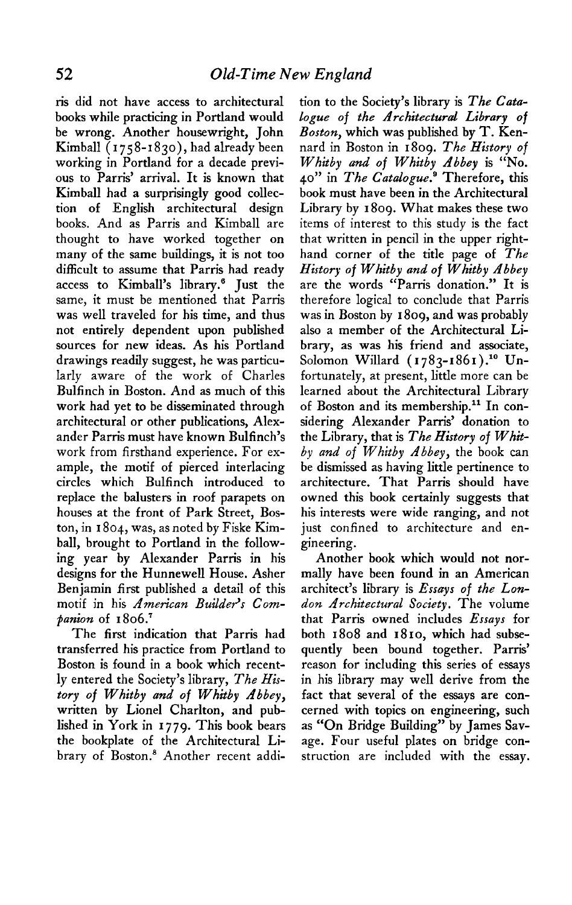**ris did not have access to architectural books while practicing in Portland would be wrong. Another housewright, John Kimball ( I 75 8-1830)) had already been working in Portland for a decade previous to Parris' arrival. It is known that Kimball had a surprisingly good collection of English architectural design books. And as Parris and Kimball are thought to have worked together on many of the same buildings, it is not too difficult to assume that Parris had ready access to Kimball's library.' Just the same, it must be mentioned that Parris was well traveled for his time, and thus not entirely dependent upon published sources for new ideas. As his Portland drawings readily suggest, he was particularly aware of the work of Charles Bulfinch in Boston. And as much of this work had yet to be disseminated through architectural or other publications, Alexander Parr-is must have known Bulfinch's work from firsthand experience. For example, the motif of pierced interlacing circles which Bulfinch introduced to replace the balusters in roof parapets on houses at the front of Park Street, Boston, in I 804, was, as noted by Fiske Kimball, brought to Portland in the following year by Alexander Parris in his designs for the Hunnewell House. Asher Benjamin first published a detail of this**  motif in his *American Builder's Com***panion of 1806.'** 

**The first indication that Parris had transferred his practice from Portland to Boston is found in a book which recently entered the Society's library, The History of Whitby and of Whitby Abbey, written by Lionel Charlton, and published in York in 1779. This book bears the bookplate of the Architectural Library of Boston.' Another recent addi-** **tion to the Society's library is The Cata-Logue of the Architectural Library of Boston, which was published by T. Kennard in Boston in 1809. The History of Whitby and of Whitby Abbey is "No. 40" in The Catalogue.' Therefore, this book must have been in the Architectural Library by 1809. What makes these two items of interest to this study is the fact that written in pencil in the upper righthand corner of the title page of The History of Whitby and of Whitby Abbey are the words "Parris donation." It is therefore logical to conclude that Parris was in Boston by I 809, and was probably also a member of the Architectural Library, as was his friend and associate,**  Solomon Willard (1783-1861).<sup>10</sup> Un**fortunately, at present, little more can be learned about the Architectural Library**  of Boston and its membership.<sup>11</sup> In con**sidering Alexander Parris' donation to the Library, that is The History of Whitby and of Whitby Abbey, the book can be dismissed as having little pertinence to architecture. That Parris should have owned this book certainly suggests that his interests were wide ranging, and not just confined to architecture and engineering.** 

**Another book which would not normally have been found in an American architect's library is Essays of the London Architectural Society. The volume that Parr-is owned includes Essays for both 1808 and 1810, which had subsequently been bound together. Parris' reason for including this series of essays in his library may well derive from the fact that several of the essays are concerned with topics on engineering, such as "On Bridge Building" by James Savage. Four useful plates on bridge construction are included with the essay.**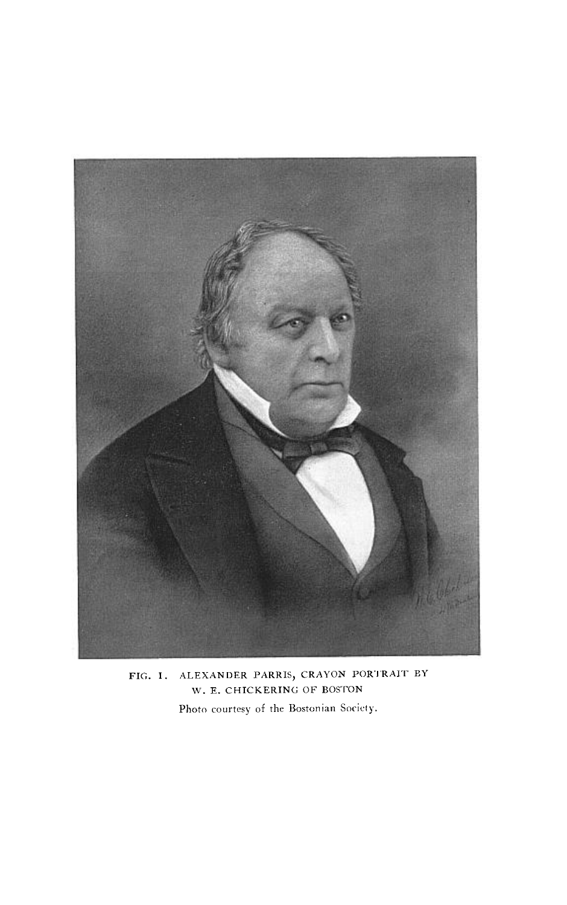

**FIG. I. ALEXANDER PARRIS, CRAYON PORI'RAIT ' BY W. E. CHICKERING OF BOSTON**  Photo courtesy of the Bostonian Society.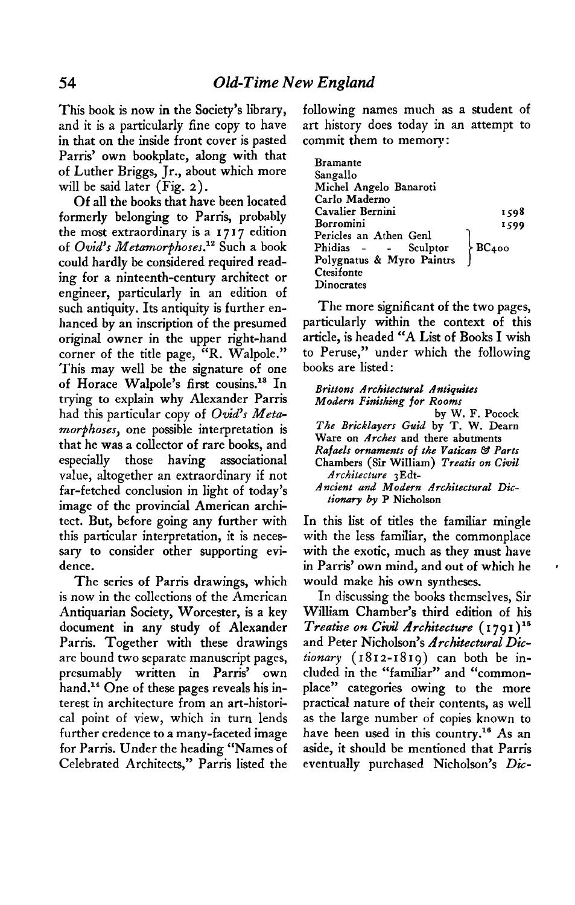**This book is now in the Society's library, and it is a particularly fine copy to have in that on the inside front cover is pasted Parris' own bookplate, along with that of Luther Briggs, Jr., about which more will be said later (Fig. 2).** 

**Of all the books that have been located formerly belonging to Parris, probably the most extraordinary is a 1717 edition of Ovid's Metamorphoses.12 Such a book could hardly be considered required reading for a ninteenth-century architect or engineer, particularly in an edition of such antiquity. Its antiquity is further enhanced by an inscription of the presumed original owner in the upper right-hand corner of the title page, "R. Walpole." This may well be the signature of one of Horace Walpole's first cousins.13 In trying to explain why Alexander Parris**  had this particular copy of Ovid's Meta**morphoses, one possible interpretation is that he was a collector of rare books, and especially those having associational value, altogether an extraordinary if not far-fetched conclusion in light of today's image of the provincial American architect. But, before going any further with this particular interpretation, it is necessary to consider other supporting evidence.** 

**The series of Parris drawings, which is now in the collections of the American Antiquarian Society, Worcester, is a key document in any study of Alexander Parris. Together with these drawings are bound two separate manuscript pages, presumably written in Parris' own hand.14 One of these pages reveals his interest in architecture from an art-historical point of view, which in turn lends further credence to a many-faceted image for Parris. Under the heading "Names of Celebrated Architects," Parris listed the** 

**following names much as a student of art history does today in an attempt to commit them to memory:** 

| <b>Bramante</b>                                         |      |
|---------------------------------------------------------|------|
| Sangallo                                                |      |
| Michel Angelo Banaroti                                  |      |
| Carlo Maderno                                           |      |
| Cavalier Bernini                                        | 1598 |
| Borromini                                               | 1599 |
| Pericles an Athen Genl                                  |      |
|                                                         |      |
| Phidias - - Sculptor BC400<br>Polygnatus & Myro Paintrs |      |
| Ctesifonte                                              |      |
| Dinocrates                                              |      |

**The more significant of the two pages, particularly within the context of this article, is headed "A List of Books I wish to Peruse," under which the following books are listed:** 

| Brittons Architectural Antiquites                             |
|---------------------------------------------------------------|
| Modern Finishing for Rooms                                    |
| by W. F. Pocock                                               |
| The Bricklayers Guid by T. W. Dearn                           |
| Ware on <i>Arches</i> and there abutments                     |
| Rafaels ornaments of the Vatican & Parts                      |
| Chambers (Sir William) Treatis on Civil<br>Architecture 3Edt- |
| Ancient and Modern Architectural Dic-                         |
| tionary by P Nicholson                                        |

**In this list of titles the familiar mingle with the less familiar, the commonplace with the exotic, much as they must have in Parris' own mind, and out of which he would make his own syntheses.** 

**In discussing the books themselves, Sir William Chamber's third edition of his Treatise on Civil Architecture ( I 79 I ) l6 and Peter Nicholson's Architectural Dictionary (1812-1819) can both be included in the "familiar" and "commonplace" categories owing to the more practical nature of their contents, as well as the large number of copies known to have been used in this country." As an aside, it should be mentioned that Parris eventually purchased Nicholson's Die-**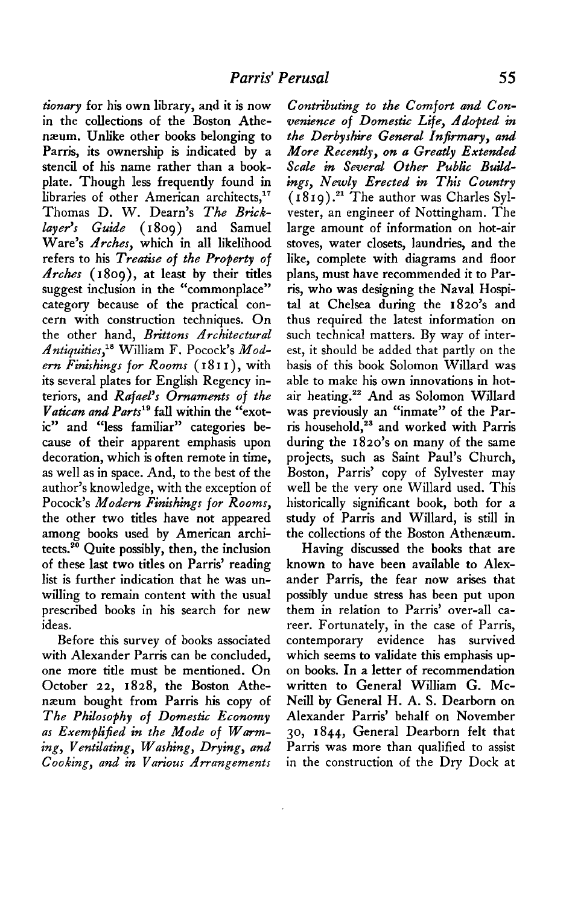**tionury for his own library, and it is now in the collections of the Boston Athenaeum. Unlike other books belonging to**  Parris, its ownership is indicated by a **stencil of his name rather than a bookplate. Though less frequently found in**  libraries of other American architects,<sup>17</sup> **Thomas D. W. Dearn's The Bricklayers ' Guide ( 1809) and Samuel Ware's Arches, which in all likelihood refers to his Treatise of the Property of Arches (I 809), at least by their titles suggest inclusion in the "commonplace" category because of the practical concern with construction techniques. On**  the other hand, *Brittons Architectural* Antiquities,<sup>18</sup> William F. Pocock's Mod**ern Finishings for Rooms ( I 8 I I ) , with its several plates for English Regency interiors, and Rafaels ' Ornaments of the Vatican and Part? fall within the "exotic" and "less familiar" categories because of their apparent emphasis upon decoration, which is often remote in time, as well as in space. And, to the best of the author's knowledge, with the exception of Pocock's Modern Finishings for Rooms, the other two titles have not appeared among books used by American archi**tects.<sup>20</sup> Quite possibly, then, the inclusion **of these last two titles on Parris' reading list is further indication that he was unwilling to remain content with the usual prescribed books in his search for new ideas.** 

**Before this survey of books associated with Alexander Parris can be concluded, one more title must be mentioned. On October 22, 1828, the Boston Athe**næum bought from Parris his copy of **The Philosophy of Domestic Economy as Exemplified in the Mode of Warming, Ventilating, Washing, Drying, and Cooking, and in Various Arrangements** 

**Contributing to the Comfort and Convenience of Domestic Life, Adopted in the Derbyshire General Infirmary, and More Recendy, on a Greatly Extended Scale in Several Other Public Buildings, Newly Erected in This Country ( I 8 I 9) .21 The author was Charles Sylvester, an engineer of Nottingham. The large amount of information on hot-air stoves, water closets, laundries, and the like, complete with diagrams and floor plans, must have recommended it to Par**ris, who was designing the Naval Hospi**tal at Chelsea during the 1820's and thus required the latest information on such technical matters. By way of interest, it should be added that partly on the basis of this book Solomon Willard was able to make his own innovations in hotair heating.22 And as Solomon Willard was previously an "inmate" of the Part-is household,2s and worked with Parris during the 1820's on many of the same projects, such as Saint Paul's Church, Boston, Parris' copy of Sylvester may well be the very one Willard used. This historically significant book, both for a study of Parris and Willard, is still in the collections of the Boston Athenaeum.** 

**Having discussed the books that are known to have been available to Alex**ander Parris, the fear now arises that **possibly undue stress has been put upon them in relation to Parris' over-all career. Fortunately, in the case of Parris, contemporary evidence has survived which seems to validate this emphasis upon books. In a letter of recommendation written to General William G. Mc-Neill by General H. A. S. Dearborn on Alexander Parris' behalf on November 30, 1844, General Dearborn felt that**  Parris was more than qualified to assist **in the construction of the Dry Dock at**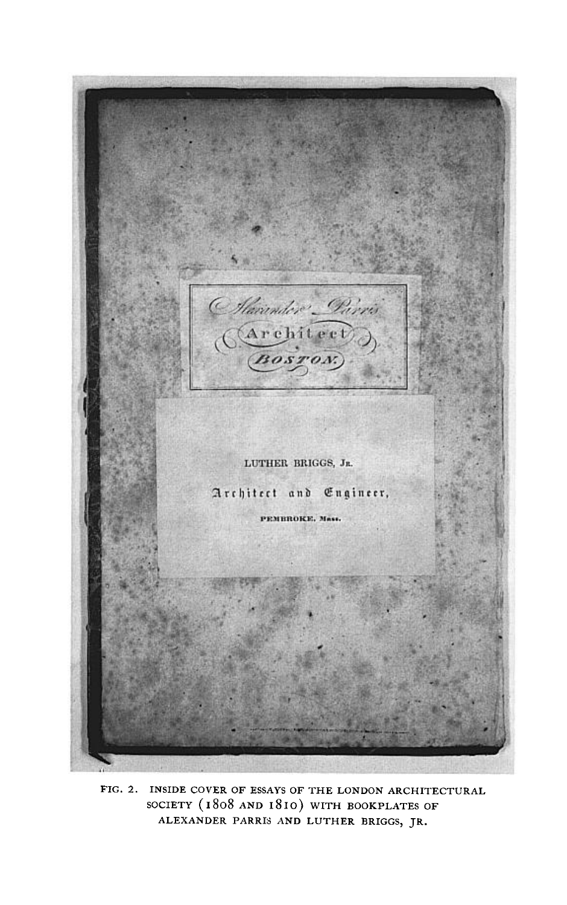(Marinder Parris)<br>(Architect)<br>(Bosron) LUTHER BRIGGS, JR. Architect and Engineer, PEMBROKE, Mass.

**FIG. 2. INSIDE COVER OF ESSAYS OF THE LONDON ARCHITECTURAL SOCIETY ( 1808 AND I8 IO) WITH BOOKPLATES OF ALEXANDER PARRI; AND LUTHER BRIGGS, JR.**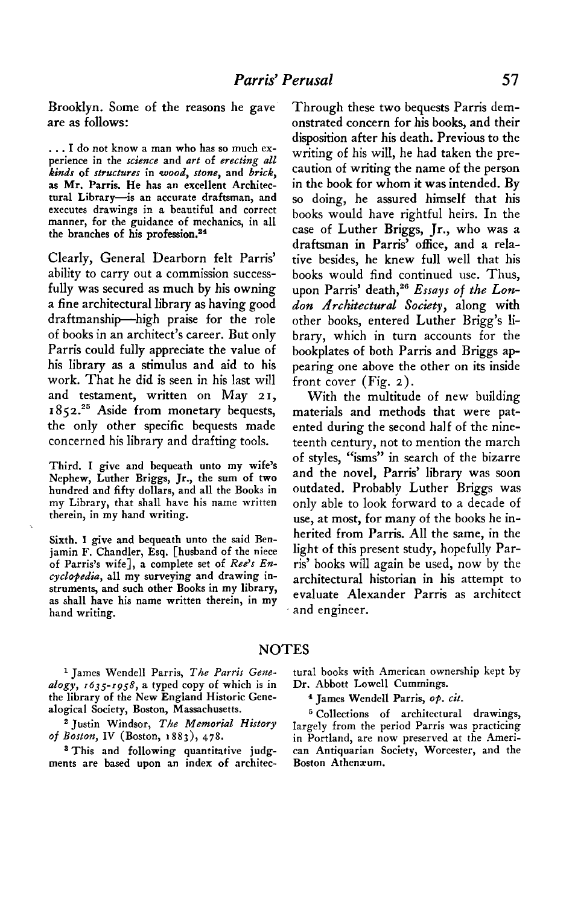**Brooklyn. Some of the reasons he gave are as follows:** 

**. . . I do not know a man who has so much experience in the science and art of erecting all kinds of structures in wood, stone, and brick, as Mr. Parris. He has an excellent Architectural Library-is an accurate draftsman, and executes drawings in a beautiful and correct manner, for the guidance of mechanics, in all**  the branches of his profession.<sup>24</sup>

Clearly, General Dearborn felt Parris' **ability to carry out a commission successfully was secured as much by his owning a fine architectural library as having good draftmanship-high praise for the role of books in an architect's career. But only Parris could fully appreciate the value of his library as a stimulus and aid to his work. That he did is seen in his last will and testament, written on May 21,**  1852.<sup>25</sup> Aside from monetary bequests, **the only other specific bequests made concerned his library and drafting tools.** 

**Third. I give and bequeath unto my wife's Nephew, Luther Briggs, Jr., the sum of two hundred and fifty dollars, and all the Books in my Library, that shall have his name written therein, in my hand writing.** 

**Sixth. I give and bequeath unto the said Ben**jamin F. Chandler, Esq. [husband of the niece of Parris's wife], a complete set of Ree's En**cyclopedia, all my surveying and drawing instruments, and such other Books in my library, as shall have his name written therein, in my hand writing.** 

**Through these two bequests Parris demonstrated concern for his books, and their disposition after his death. Previous to the writing of his will, he had taken the precaution of writing the name of the person in the book for whom it was intended. By so doing, he assured himself that his books would have rightful heirs. In the case of Luther Briggs, Jr., who was a draftsman in Parris' office, and a relative besides, he knew full well that his books would find continued use. Thus,**  upon Parris' death,<sup>26</sup> Essays of the Lon**dart Architectural Society, along with other books, entered Luther Brigg's library, which in turn accounts for the bookplates of both Parris and Briggs appearing one above the other on its inside front cover (Fig. 2).** 

**With the multitude of new building materials and methods that were patented during the second half of the nineteenth century, not to mention the march of styles, "isms" in search of the bizarre and the novel, Parris' library was soon outdated. Probably Luther Briggs was only able to look forward to a decade of use, at most, for many of the books he inherited from Parris. All the same, in the light of this present study, hopefully Parris' books will again be used, now by the architectural historian in his attempt to evaluate Alexander Parris as architect and engineer.** 

## **NOTES**

alogy, 1635-1958, a typed copy of which is in **the library of the New England Historic Genealogical Society, Boston, Massachusetts.** 

**\*Justin Windsor, The Memorial History of Boston, IV (Boston, 1883), 478.** 

ments are based upon an index of architec-

**1 James Wendell Parris, The Parris Gene- tural books with American ownership kept by** 

**4 James Wendell Parris, op. cit.** 

**s Collections of architectural drawings, largely from the period Parris was practicing**  in Portland, are now preserved at the Ameri-**3 This and following quantitative judg- can Antiquarian Society, Worcester, and the**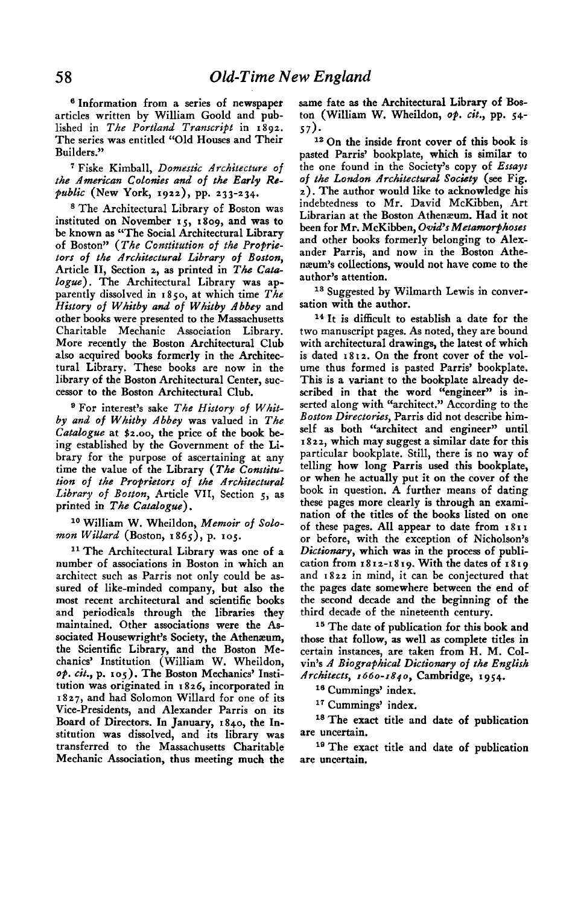**6 Information from a series of newspaper articles written by William Goold and published in The Portland Transcript in 1892. The series was entitled "Old Houses and Their Builders."** 

**' Fiske Kimball, Domestic Architecture of**  the American Colonies and of the Early Re**public (New York, x922), pp. 233-234.** 

**\* The Architectural Library of Boston was instituted on November 15, 1809, and was to be known as "The Social Architectural Library**  of Boston" (The Constitution of the Proprie**tors of the Architectural Library of Boston, Article II, Section 2, as printed in The Cata**logue). The Architectural Library was ap**parently dissolved in I 850, at which time The**  History of Whitby and of Whitby Abbey and **other books were presented to the Massachusetts Charitable Mechanic Association Library. More recently the Boston Architectural Club also acquired books formerly in the Architectural Library. These books are now in the library of the Boston Architectural Center, successor to the Boston Architectural Club.** 

**g For interest's sake The History of Whitby and of Whitby Abbey was valued in The Catalogue at \$2.00, the price of the book being established by the Government of the Library for the purpose of ascertaining at any time the value of the Library (The Constitution of the Proprietors of the Architectural Library of Boston, Article VII, Section 5, as**  printed in The Catalogue).

**lo William W. Wheildon, Memoir of Solomon Willard (Boston, 1865), p. 103.** 

<sup>11</sup> The Architectural Library was one of a **number of associations in Boston in which an architect such as Parris not only could be assured of like-minded company, but also the most recent architectural and scientific books and periodicals through the libraries they maintained. Other associations were the Associated Housewright's Society, the Athenaeum, the Scientific Library, and the Boston Mechanics' Institution (William W. Wheildon, op. cit., p. 105). The Boston Mechanics' Institution was originated in I 826, incorporated in 2827, and had Solomon Willard for one of its Vice-Presidents, and Alexander Parris on its Board of Directors. In January, 1840, the Institution was dissolved, and its library was transferred to the Massachusetts Charitable Mechanic Association, thus meeting much the**  **same fate as the Architectural Library of Boston (William W. Wheildon, op. cit., pp. 54- 57).** 

**I2 On the inside front cover of this book is pasted Parris' bookplate, which is similar to the one found in the Society's copy of Essays**  of the London Architectural Society (see Fig. **2). The author would like to acknowledge his indebtedness to Mr. David McKibben, Art Librarian at the Boston Athenaeum. Had it not**  been for Mr. McKibben, Ovid's Metamorphoses **and other books formerly belonging to Alexander Parris, and now in the Boston Athemeurn's collections, would not have come to the author's attention.** 

<sup>18</sup> Suggested by Wilmarth Lewis in conver**sation with the author.** 

**I4 It is difficult to establish a date for the two manuscript pages. As noted, they are bound with architectural drawings, the latest of which is dated 1812. On the front cover of the volume thus formed is pasted Parris' bookplate. This is a variant to the bookplate already described in that the word "engineer" is inserted along with "architect." According to the Boston Directories, Parris did not describe himself as both "architect and engineer" until I 822, which may suggest a similar date for this particular bookplate. Still, there is no way of telling how long Parris used this bookplate, or when he actually put it on the cover of the book in question. A further means of dating these pages more clearly is through an examination of the titles of the books listed on one of these pages. All appear to date from I 81 I or before, with the exception of Nicholson's Dictionary, which was in the process of publication from 1812-1819. With the dates of 1819 and 1822 in mind, it can be conjectured that the pages date somewhere between the end of the second decade and the beginning of the third decade of the nineteenth century.** 

**I6 The date of publication for this book and those that follow, as well as complete titles in certain instances, are taken from H. M. Colvin's A Biographical Dictionary of the English Architects, 1660-1840, Cambridge, 1954.** 

<sup>16</sup> Cummings' index.

<sup>17</sup> Cummings' index.

**'s The exact title and date of publication are uncertain.** 

**I9 The exact title and date of publication are uncertain.**